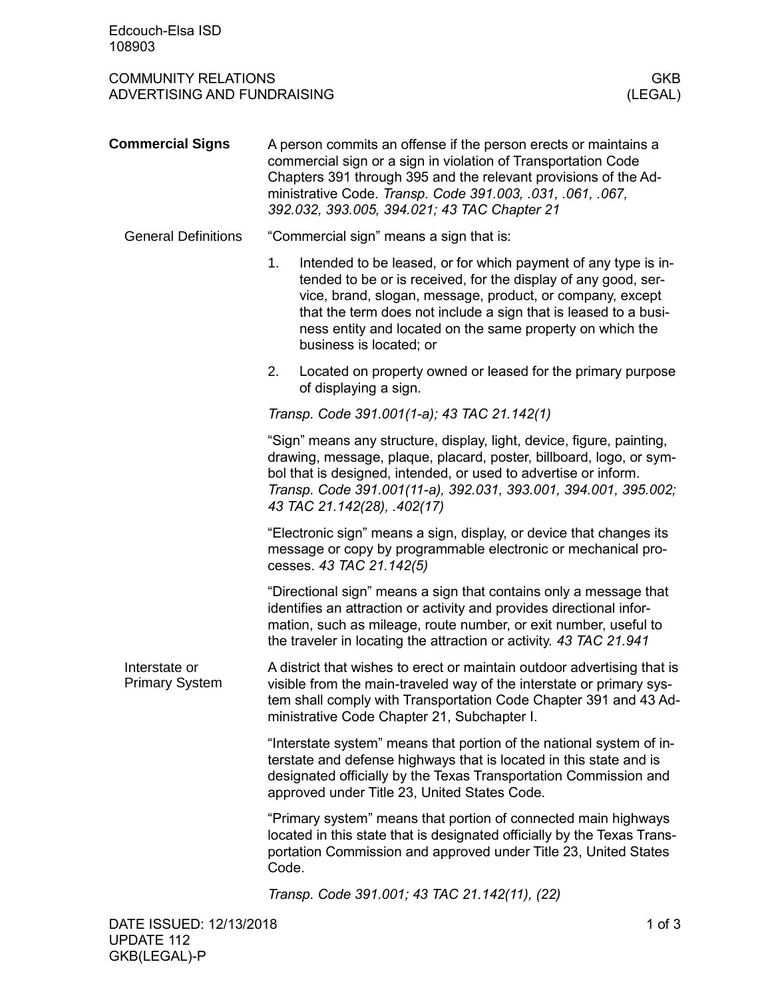## COMMUNITY RELATIONS GKB<br>ADVERTISING AND FUNDRAISING AND AND TRIVIAL SERVICE OF THE MANUSCRIPTION OF THE MANUSCRIPTION OF THE MANUSCRIP ADVERTISING AND FUNDRAISING

| <b>Commercial Signs</b>                | A person commits an offense if the person erects or maintains a<br>commercial sign or a sign in violation of Transportation Code<br>Chapters 391 through 395 and the relevant provisions of the Ad-<br>ministrative Code. Transp. Code 391.003, .031, .061, .067,<br>392.032, 393.005, 394.021; 43 TAC Chapter 21                                              |  |  |
|----------------------------------------|----------------------------------------------------------------------------------------------------------------------------------------------------------------------------------------------------------------------------------------------------------------------------------------------------------------------------------------------------------------|--|--|
| <b>General Definitions</b>             | "Commercial sign" means a sign that is:                                                                                                                                                                                                                                                                                                                        |  |  |
|                                        | 1.<br>Intended to be leased, or for which payment of any type is in-<br>tended to be or is received, for the display of any good, ser-<br>vice, brand, slogan, message, product, or company, except<br>that the term does not include a sign that is leased to a busi-<br>ness entity and located on the same property on which the<br>business is located; or |  |  |
|                                        | Located on property owned or leased for the primary purpose<br>2.<br>of displaying a sign.                                                                                                                                                                                                                                                                     |  |  |
|                                        | Transp. Code 391.001(1-a); 43 TAC 21.142(1)                                                                                                                                                                                                                                                                                                                    |  |  |
|                                        | "Sign" means any structure, display, light, device, figure, painting,<br>drawing, message, plaque, placard, poster, billboard, logo, or sym-<br>bol that is designed, intended, or used to advertise or inform.<br>Transp. Code 391.001(11-a), 392.031, 393.001, 394.001, 395.002;<br>43 TAC 21.142(28), .402(17)                                              |  |  |
|                                        | "Electronic sign" means a sign, display, or device that changes its<br>message or copy by programmable electronic or mechanical pro-<br>cesses. 43 TAC 21.142(5)                                                                                                                                                                                               |  |  |
|                                        | "Directional sign" means a sign that contains only a message that<br>identifies an attraction or activity and provides directional infor-<br>mation, such as mileage, route number, or exit number, useful to<br>the traveler in locating the attraction or activity. 43 TAC 21.941                                                                            |  |  |
| Interstate or<br><b>Primary System</b> | A district that wishes to erect or maintain outdoor advertising that is<br>visible from the main-traveled way of the interstate or primary sys-<br>tem shall comply with Transportation Code Chapter 391 and 43 Ad-<br>ministrative Code Chapter 21, Subchapter I.                                                                                             |  |  |
|                                        | "Interstate system" means that portion of the national system of in-<br>terstate and defense highways that is located in this state and is<br>designated officially by the Texas Transportation Commission and<br>approved under Title 23, United States Code.                                                                                                 |  |  |
|                                        | "Primary system" means that portion of connected main highways<br>located in this state that is designated officially by the Texas Trans-<br>portation Commission and approved under Title 23, United States<br>Code.                                                                                                                                          |  |  |
|                                        | Transp. Code 391.001; 43 TAC 21.142(11), (22)                                                                                                                                                                                                                                                                                                                  |  |  |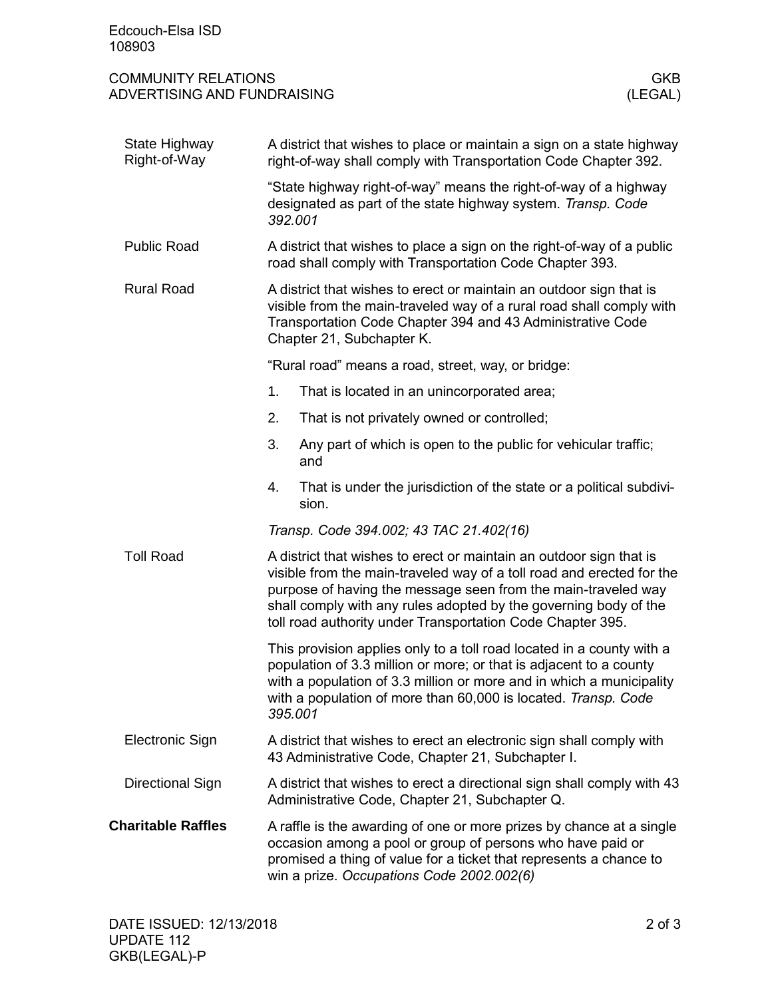| Edcouch-Elsa ISD<br>108903                                |    |                                                                                                                                                                                                                                                                                                                                                 |                       |  |  |
|-----------------------------------------------------------|----|-------------------------------------------------------------------------------------------------------------------------------------------------------------------------------------------------------------------------------------------------------------------------------------------------------------------------------------------------|-----------------------|--|--|
| <b>COMMUNITY RELATIONS</b><br>ADVERTISING AND FUNDRAISING |    |                                                                                                                                                                                                                                                                                                                                                 | <b>GKB</b><br>(LEGAL) |  |  |
| State Highway<br>Right-of-Way                             |    | A district that wishes to place or maintain a sign on a state highway<br>right-of-way shall comply with Transportation Code Chapter 392.                                                                                                                                                                                                        |                       |  |  |
|                                                           |    | "State highway right-of-way" means the right-of-way of a highway<br>designated as part of the state highway system. Transp. Code<br>392.001                                                                                                                                                                                                     |                       |  |  |
| <b>Public Road</b>                                        |    | A district that wishes to place a sign on the right-of-way of a public<br>road shall comply with Transportation Code Chapter 393.                                                                                                                                                                                                               |                       |  |  |
| <b>Rural Road</b>                                         |    | A district that wishes to erect or maintain an outdoor sign that is<br>visible from the main-traveled way of a rural road shall comply with<br>Transportation Code Chapter 394 and 43 Administrative Code<br>Chapter 21, Subchapter K.                                                                                                          |                       |  |  |
|                                                           |    | "Rural road" means a road, street, way, or bridge:                                                                                                                                                                                                                                                                                              |                       |  |  |
|                                                           | 1. | That is located in an unincorporated area;                                                                                                                                                                                                                                                                                                      |                       |  |  |
|                                                           | 2. | That is not privately owned or controlled;                                                                                                                                                                                                                                                                                                      |                       |  |  |
|                                                           | 3. | Any part of which is open to the public for vehicular traffic;<br>and                                                                                                                                                                                                                                                                           |                       |  |  |
|                                                           | 4. | That is under the jurisdiction of the state or a political subdivi-<br>sion.                                                                                                                                                                                                                                                                    |                       |  |  |
|                                                           |    | Transp. Code 394.002; 43 TAC 21.402(16)                                                                                                                                                                                                                                                                                                         |                       |  |  |
| <b>Toll Road</b>                                          |    | A district that wishes to erect or maintain an outdoor sign that is<br>visible from the main-traveled way of a toll road and erected for the<br>purpose of having the message seen from the main-traveled way<br>shall comply with any rules adopted by the governing body of the<br>toll road authority under Transportation Code Chapter 395. |                       |  |  |
|                                                           |    | This provision applies only to a toll road located in a county with a<br>population of 3.3 million or more; or that is adjacent to a county<br>with a population of 3.3 million or more and in which a municipality<br>with a population of more than 60,000 is located. Transp. Code<br>395.001                                                |                       |  |  |
| Electronic Sign                                           |    | A district that wishes to erect an electronic sign shall comply with<br>43 Administrative Code, Chapter 21, Subchapter I.                                                                                                                                                                                                                       |                       |  |  |
| <b>Directional Sign</b>                                   |    | A district that wishes to erect a directional sign shall comply with 43<br>Administrative Code, Chapter 21, Subchapter Q.                                                                                                                                                                                                                       |                       |  |  |
| <b>Charitable Raffles</b>                                 |    | A raffle is the awarding of one or more prizes by chance at a single<br>occasion among a pool or group of persons who have paid or<br>promised a thing of value for a ticket that represents a chance to<br>win a prize. Occupations Code 2002.002(6)                                                                                           |                       |  |  |